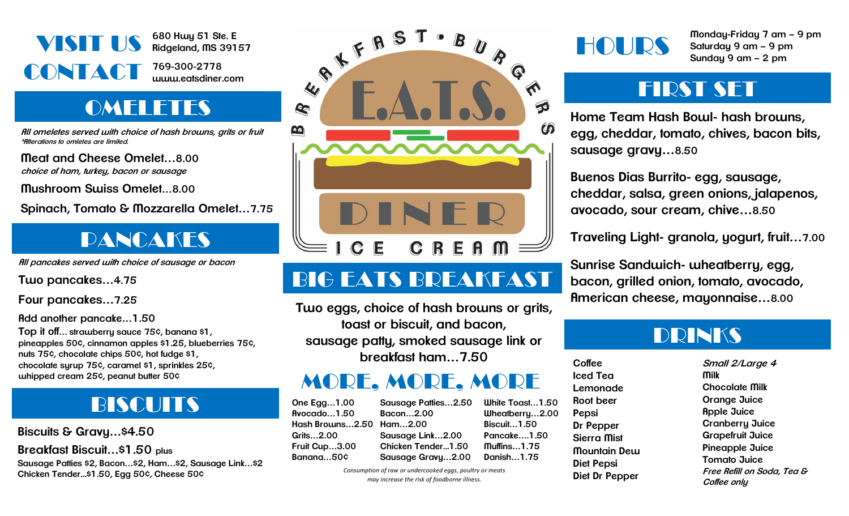

**680 Hwy 51 Ste. E Ridgeland, MS 39157**

**769-300-2778 www.eatsdiner.com**

# **OMELETES**

**All omeletes served with choice of hash browns, grits or fruit \*Alterations to omletes are limited.**

**Meat and Cheese Omelet…8.00 choice of ham, turkey, bacon or sausage**

**Mushroom Swiss Omelet…8.00**

**Spinach, Tomato & Mozzarella Omelet…7.75**

## PANCAKES

**All pancakes served with choice of sausage or bacon**

**Two pancakes…4.75**

**Four pancakes…7.25**

**Add another pancake…1.50**

**Top it off… strawberry sauce 75¢, banana \$1, pineapples 50¢, cinnamon apples \$1.25, blueberries 75¢, nuts 75¢, chocolate chips 50¢, hot fudge \$1, chocolate syrup 75¢, caramel \$1, sprinkles 25¢, whipped cream 25¢, peanut butter 50¢**

# **BISCUITS One Egg...1.00**

**Biscuits & Gravy…\$4.50**

**Breakfast Biscuit…\$1.50 plus**

**Sausage Patties \$2, Bacon…\$2, Ham…\$2, Sausage Link…\$2 Chicken Tender...\$1.50, Egg 50¢, Cheese 50¢**



# BIG EATS BREAKFAST

**Two eggs, choice of hash browns or grits, toast or biscuit, and bacon, sausage patty, smoked sausage link or breakfast ham…7.50**

### MORE, MORE, MORE

**Avocado…1.50 Hash Browns…2.50 Ham…2.00 Grits…2.00 Fruit Cup…3.00 Banana…50¢ Sausage Patties…2.50 Bacon…2.00 Sausage Link…2.00 Chicken Tender...1.50 Sausage Gravy…2.00**

**White Toast…1.50 Wheatberry…2.00 Biscuit…1.50 Pancake….1.50 Muffins…1.75 Danish…1.75**

*Consumption of raw or undercooked eggs, poultry or meats may increase the risk of foodborne illness.*

**HOURS** 

**Monday-Friday 7 am – 9 pm Saturday 9 am – 9 pm Sunday 9 am – 2 pm**

#### FIRST SET

**Home Team Hash Bowl- hash browns, egg, cheddar, tomato, chives, bacon bits, sausage gravy…8.50**

**Buenos Dias Burrito- egg, sausage, cheddar, salsa, green onions, jalapenos, avocado, sour cream, chive…8.50**

**Traveling Light- granola, yogurt, fruit…7.00**

**Sunrise Sandwich- wheatberry, egg, bacon, grilled onion, tomato, avocado, American cheese, mayonnaise…8.00**

#### DRINKS

**Coffee Iced Tea Lemonade Root beer Pepsi Dr Pepper Sierra Mist Mountain Dew Diet Pepsi Diet Dr Pepper**

**Small 2/Large 4 Milk Chocolate Milk Orange Juice Apple Juice Cranberry Juice Grapefruit Juice Pineapple Juice Tomato Juice Free Refill on Soda, Tea & Coffee only**